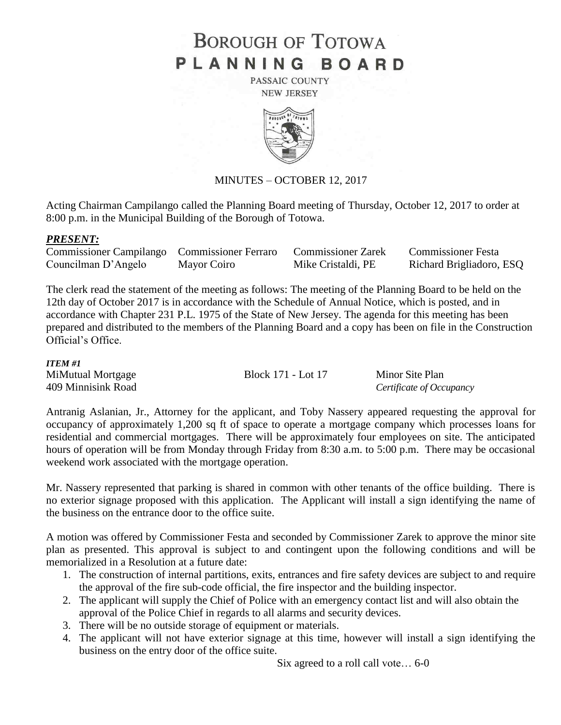# **BOROUGH OF TOTOWA** PLANNING BOARD

PASSAIC COUNTY **NEW JERSEY** 



## MINUTES – OCTOBER 12, 2017

Acting Chairman Campilango called the Planning Board meeting of Thursday, October 12, 2017 to order at 8:00 p.m. in the Municipal Building of the Borough of Totowa.

## *PRESENT:*

| Commissioner Campilango Commissioner Ferraro |             | <b>Commissioner Zarek</b> | <b>Commissioner Festa</b> |
|----------------------------------------------|-------------|---------------------------|---------------------------|
| Councilman D'Angelo                          | Mayor Coiro | Mike Cristaldi, PE        | Richard Brigliadoro, ESQ  |

The clerk read the statement of the meeting as follows: The meeting of the Planning Board to be held on the 12th day of October 2017 is in accordance with the Schedule of Annual Notice, which is posted, and in accordance with Chapter 231 P.L. 1975 of the State of New Jersey. The agenda for this meeting has been prepared and distributed to the members of the Planning Board and a copy has been on file in the Construction Official's Office.

#### *ITEM #1*

MiMutual Mortgage Block 171 - Lot 17 Minor Site Plan 409 Minnisink Road *Certificate of Occupancy*

Antranig Aslanian, Jr., Attorney for the applicant, and Toby Nassery appeared requesting the approval for occupancy of approximately 1,200 sq ft of space to operate a mortgage company which processes loans for residential and commercial mortgages. There will be approximately four employees on site. The anticipated hours of operation will be from Monday through Friday from 8:30 a.m. to 5:00 p.m. There may be occasional weekend work associated with the mortgage operation.

Mr. Nassery represented that parking is shared in common with other tenants of the office building. There is no exterior signage proposed with this application. The Applicant will install a sign identifying the name of the business on the entrance door to the office suite.

A motion was offered by Commissioner Festa and seconded by Commissioner Zarek to approve the minor site plan as presented. This approval is subject to and contingent upon the following conditions and will be memorialized in a Resolution at a future date:

- 1. The construction of internal partitions, exits, entrances and fire safety devices are subject to and require the approval of the fire sub-code official, the fire inspector and the building inspector.
- 2. The applicant will supply the Chief of Police with an emergency contact list and will also obtain the approval of the Police Chief in regards to all alarms and security devices.
- 3. There will be no outside storage of equipment or materials.
- 4. The applicant will not have exterior signage at this time, however will install a sign identifying the business on the entry door of the office suite.

Six agreed to a roll call vote… 6-0